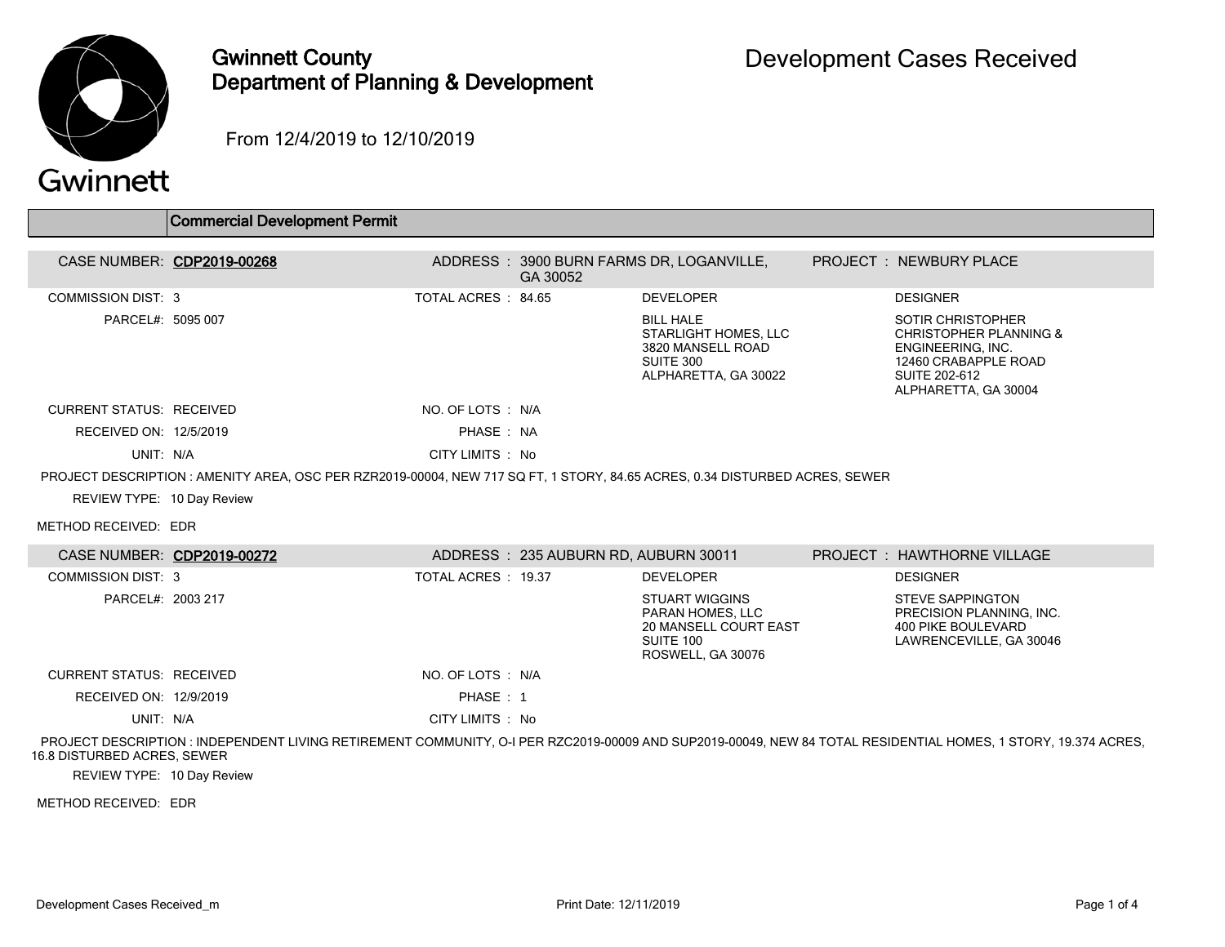

## Gwinnett County Department of Planning & Development

From 12/4/2019 to 12/10/2019

|                                 | <b>Commercial Development Permit</b>                                                                                        |                     |                                      |                                                                                                           |                                                                                                                                                                |
|---------------------------------|-----------------------------------------------------------------------------------------------------------------------------|---------------------|--------------------------------------|-----------------------------------------------------------------------------------------------------------|----------------------------------------------------------------------------------------------------------------------------------------------------------------|
| CASE NUMBER: CDP2019-00268      |                                                                                                                             |                     | GA 30052                             | ADDRESS: 3900 BURN FARMS DR, LOGANVILLE,                                                                  | PROJECT: NEWBURY PLACE                                                                                                                                         |
| <b>COMMISSION DIST: 3</b>       |                                                                                                                             | TOTAL ACRES : 84.65 |                                      | <b>DEVELOPER</b>                                                                                          | <b>DESIGNER</b>                                                                                                                                                |
| PARCEL#: 5095 007               |                                                                                                                             |                     |                                      | <b>BILL HALE</b><br><b>STARLIGHT HOMES, LLC</b><br>3820 MANSELL ROAD<br>SUITE 300<br>ALPHARETTA, GA 30022 | <b>SOTIR CHRISTOPHER</b><br><b>CHRISTOPHER PLANNING &amp;</b><br>ENGINEERING. INC.<br>12460 CRABAPPLE ROAD<br><b>SUITE 202-612</b><br>ALPHARETTA, GA 30004     |
| <b>CURRENT STATUS: RECEIVED</b> |                                                                                                                             | NO. OF LOTS : N/A   |                                      |                                                                                                           |                                                                                                                                                                |
| RECEIVED ON: 12/5/2019          |                                                                                                                             | PHASE: NA           |                                      |                                                                                                           |                                                                                                                                                                |
| UNIT: N/A                       |                                                                                                                             | CITY LIMITS : No    |                                      |                                                                                                           |                                                                                                                                                                |
|                                 | PROJECT DESCRIPTION : AMENITY AREA, OSC PER RZR2019-00004, NEW 717 SQ FT, 1 STORY, 84.65 ACRES, 0.34 DISTURBED ACRES, SEWER |                     |                                      |                                                                                                           |                                                                                                                                                                |
| REVIEW TYPE: 10 Day Review      |                                                                                                                             |                     |                                      |                                                                                                           |                                                                                                                                                                |
| METHOD RECEIVED: EDR            |                                                                                                                             |                     |                                      |                                                                                                           |                                                                                                                                                                |
| CASE NUMBER: CDP2019-00272      |                                                                                                                             |                     | ADDRESS: 235 AUBURN RD, AUBURN 30011 |                                                                                                           | PROJECT: HAWTHORNE VILLAGE                                                                                                                                     |
| <b>COMMISSION DIST: 3</b>       |                                                                                                                             | TOTAL ACRES: 19.37  |                                      | <b>DEVELOPER</b>                                                                                          | <b>DESIGNER</b>                                                                                                                                                |
| PARCEL#: 2003 217               |                                                                                                                             |                     |                                      | <b>STUART WIGGINS</b><br>PARAN HOMES, LLC<br>20 MANSELL COURT EAST<br>SUITE 100<br>ROSWELL, GA 30076      | <b>STEVE SAPPINGTON</b><br>PRECISION PLANNING, INC.<br><b>400 PIKE BOULEVARD</b><br>LAWRENCEVILLE, GA 30046                                                    |
| <b>CURRENT STATUS: RECEIVED</b> |                                                                                                                             | NO. OF LOTS : N/A   |                                      |                                                                                                           |                                                                                                                                                                |
| RECEIVED ON: 12/9/2019          |                                                                                                                             | PHASE: 1            |                                      |                                                                                                           |                                                                                                                                                                |
| UNIT: N/A                       |                                                                                                                             | CITY LIMITS : No    |                                      |                                                                                                           |                                                                                                                                                                |
| 16.8 DISTURBED ACRES, SEWER     |                                                                                                                             |                     |                                      |                                                                                                           | PROJECT DESCRIPTION : INDEPENDENT LIVING RETIREMENT COMMUNITY, O-I PER RZC2019-00009 AND SUP2019-00049, NEW 84 TOTAL RESIDENTIAL HOMES, 1 STORY, 19.374 ACRES, |

REVIEW TYPE: 10 Day Review

METHOD RECEIVED: EDR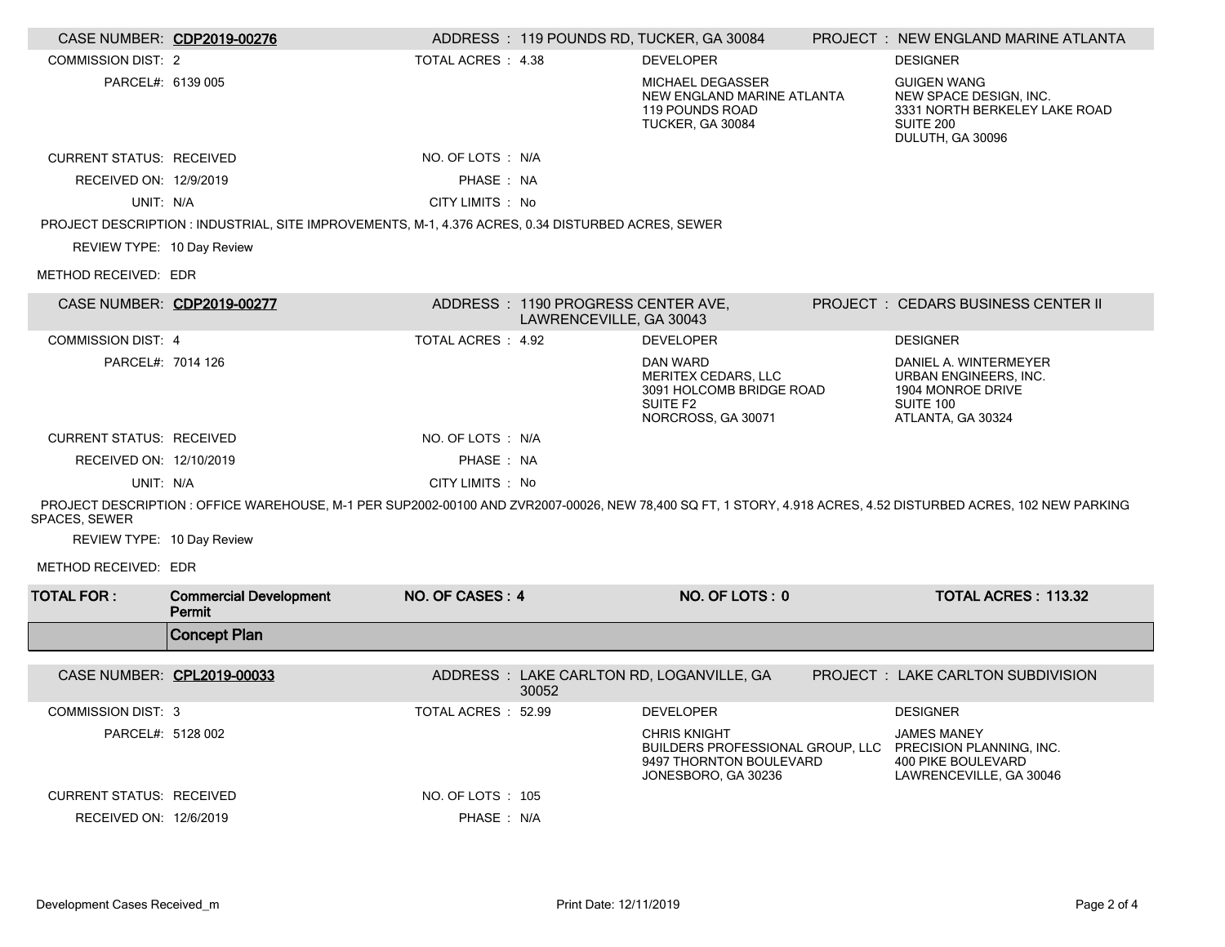| CASE NUMBER: CDP2019-00276      |                                                                                                                                                                |                     |                                                               | ADDRESS: 119 POUNDS RD, TUCKER, GA 30084                                                                                           | PROJECT : NEW ENGLAND MARINE ATLANTA                                                                           |
|---------------------------------|----------------------------------------------------------------------------------------------------------------------------------------------------------------|---------------------|---------------------------------------------------------------|------------------------------------------------------------------------------------------------------------------------------------|----------------------------------------------------------------------------------------------------------------|
| <b>COMMISSION DIST: 2</b>       |                                                                                                                                                                | TOTAL ACRES : 4.38  |                                                               | <b>DEVELOPER</b>                                                                                                                   | <b>DESIGNER</b>                                                                                                |
| PARCEL#: 6139 005               |                                                                                                                                                                |                     |                                                               | MICHAEL DEGASSER<br>NEW ENGLAND MARINE ATLANTA<br>119 POUNDS ROAD<br>TUCKER, GA 30084                                              | <b>GUIGEN WANG</b><br>NEW SPACE DESIGN, INC.<br>3331 NORTH BERKELEY LAKE ROAD<br>SUITE 200<br>DULUTH, GA 30096 |
| <b>CURRENT STATUS: RECEIVED</b> |                                                                                                                                                                | NO. OF LOTS : N/A   |                                                               |                                                                                                                                    |                                                                                                                |
| RECEIVED ON: 12/9/2019          |                                                                                                                                                                | PHASE: NA           |                                                               |                                                                                                                                    |                                                                                                                |
| UNIT: N/A                       |                                                                                                                                                                | CITY LIMITS : No    |                                                               |                                                                                                                                    |                                                                                                                |
|                                 | PROJECT DESCRIPTION : INDUSTRIAL, SITE IMPROVEMENTS, M-1, 4.376 ACRES, 0.34 DISTURBED ACRES, SEWER                                                             |                     |                                                               |                                                                                                                                    |                                                                                                                |
| REVIEW TYPE: 10 Day Review      |                                                                                                                                                                |                     |                                                               |                                                                                                                                    |                                                                                                                |
| METHOD RECEIVED: EDR            |                                                                                                                                                                |                     |                                                               |                                                                                                                                    |                                                                                                                |
| CASE NUMBER: CDP2019-00277      |                                                                                                                                                                |                     | ADDRESS: 1190 PROGRESS CENTER AVE,<br>LAWRENCEVILLE, GA 30043 |                                                                                                                                    | PROJECT : CEDARS BUSINESS CENTER II                                                                            |
| <b>COMMISSION DIST: 4</b>       |                                                                                                                                                                | TOTAL ACRES : 4.92  |                                                               | <b>DEVELOPER</b>                                                                                                                   | <b>DESIGNER</b>                                                                                                |
| PARCEL#: 7014 126               |                                                                                                                                                                |                     |                                                               | DAN WARD<br><b>MERITEX CEDARS, LLC</b><br>3091 HOLCOMB BRIDGE ROAD<br>SUITE F <sub>2</sub><br>NORCROSS, GA 30071                   | DANIEL A. WINTERMEYER<br>URBAN ENGINEERS, INC.<br>1904 MONROE DRIVE<br>SUITE 100<br>ATLANTA, GA 30324          |
| <b>CURRENT STATUS: RECEIVED</b> |                                                                                                                                                                | NO. OF LOTS : N/A   |                                                               |                                                                                                                                    |                                                                                                                |
| RECEIVED ON: 12/10/2019         |                                                                                                                                                                | PHASE: NA           |                                                               |                                                                                                                                    |                                                                                                                |
| UNIT: N/A                       |                                                                                                                                                                | CITY LIMITS : No    |                                                               |                                                                                                                                    |                                                                                                                |
| SPACES, SEWER                   | PROJECT DESCRIPTION : OFFICE WAREHOUSE, M-1 PER SUP2002-00100 AND ZVR2007-00026, NEW 78,400 SQ FT, 1 STORY, 4.918 ACRES, 4.52 DISTURBED ACRES, 102 NEW PARKING |                     |                                                               |                                                                                                                                    |                                                                                                                |
| REVIEW TYPE: 10 Day Review      |                                                                                                                                                                |                     |                                                               |                                                                                                                                    |                                                                                                                |
| METHOD RECEIVED: EDR            |                                                                                                                                                                |                     |                                                               |                                                                                                                                    |                                                                                                                |
| <b>TOTAL FOR:</b>               | <b>Commercial Development</b><br>Permit                                                                                                                        | NO. OF CASES: 4     |                                                               | NO. OF LOTS: 0                                                                                                                     | <b>TOTAL ACRES: 113.32</b>                                                                                     |
|                                 | <b>Concept Plan</b>                                                                                                                                            |                     |                                                               |                                                                                                                                    |                                                                                                                |
| CASE NUMBER: CPL2019-00033      |                                                                                                                                                                |                     | 30052                                                         | ADDRESS: LAKE CARLTON RD, LOGANVILLE, GA                                                                                           | PROJECT : LAKE CARLTON SUBDIVISION                                                                             |
| <b>COMMISSION DIST: 3</b>       |                                                                                                                                                                | TOTAL ACRES : 52.99 |                                                               | <b>DEVELOPER</b>                                                                                                                   | <b>DESIGNER</b>                                                                                                |
| PARCEL#: 5128 002               |                                                                                                                                                                |                     |                                                               | <b>CHRIS KNIGHT</b><br>BUILDERS PROFESSIONAL GROUP, LLC PRECISION PLANNING, INC.<br>9497 THORNTON BOULEVARD<br>JONESBORO, GA 30236 | <b>JAMES MANEY</b><br>400 PIKE BOULEVARD<br>LAWRENCEVILLE, GA 30046                                            |
| <b>CURRENT STATUS: RECEIVED</b> |                                                                                                                                                                | NO. OF LOTS: 105    |                                                               |                                                                                                                                    |                                                                                                                |
| RECEIVED ON: 12/6/2019          |                                                                                                                                                                | PHASE : N/A         |                                                               |                                                                                                                                    |                                                                                                                |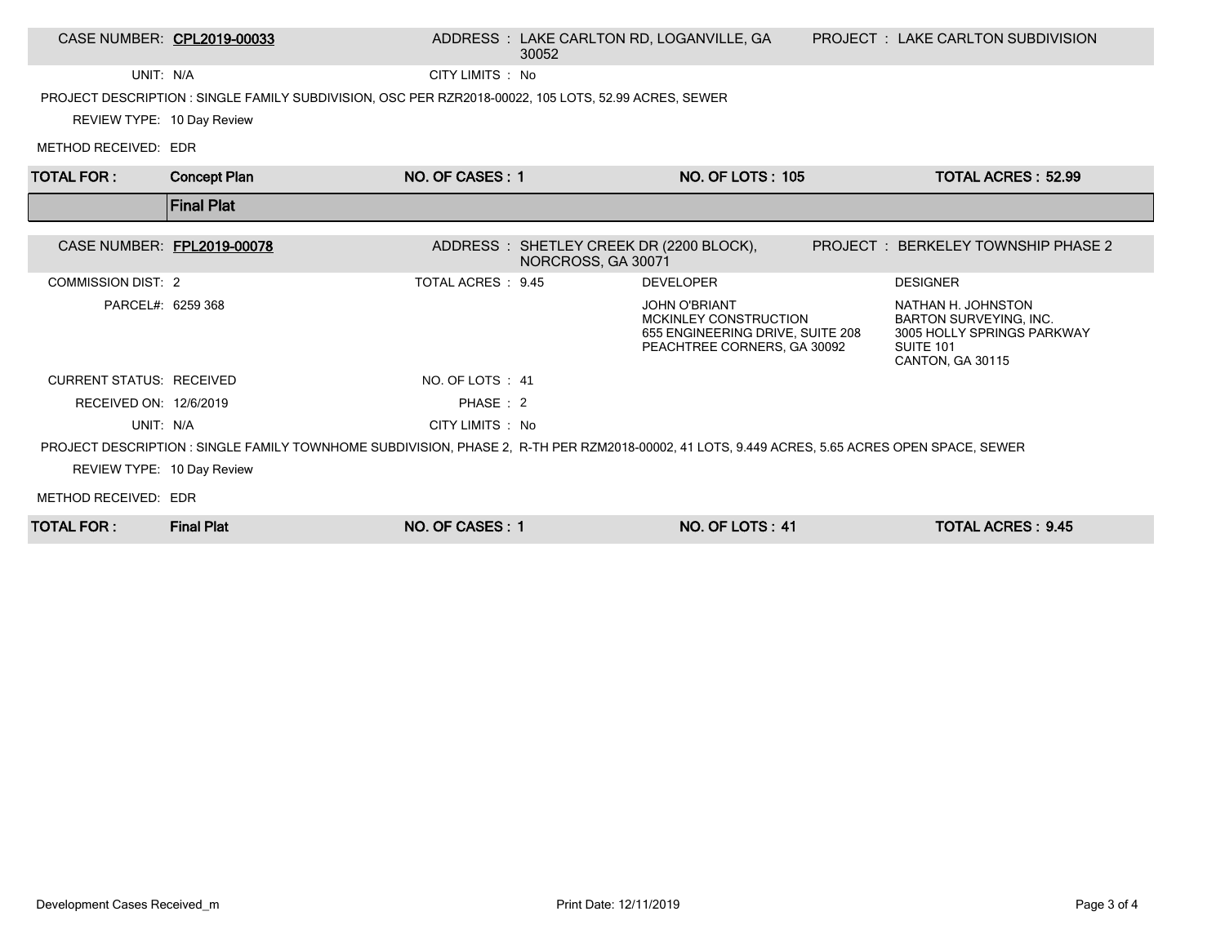| CASE NUMBER: CPL2019-00033<br>ADDRESS : LAKE CARLTON RD, LOGANVILLE, GA<br><b>PROJECT : LAKE CARLTON SUBDIVISION</b><br>30052<br>CITY LIMITS : No<br>UNIT: N/A<br>PROJECT DESCRIPTION : SINGLE FAMILY SUBDIVISION, OSC PER RZR2018-00022, 105 LOTS, 52.99 ACRES, SEWER<br>REVIEW TYPE: 10 Day Review<br>METHOD RECEIVED: EDR<br><b>NO. OF LOTS: 105</b><br><b>TOTAL FOR:</b><br><b>Concept Plan</b><br>NO. OF CASES: 1<br><b>TOTAL ACRES: 52.99</b><br><b>Final Plat</b><br>CASE NUMBER: FPL2019-00078<br>ADDRESS: SHETLEY CREEK DR (2200 BLOCK),<br><b>PROJECT : BERKELEY TOWNSHIP PHASE 2</b><br>NORCROSS, GA 30071<br>TOTAL ACRES : 9.45<br><b>DESIGNER</b><br><b>COMMISSION DIST: 2</b><br><b>DEVELOPER</b><br>PARCEL#: 6259 368<br><b>JOHN O'BRIANT</b><br>NATHAN H. JOHNSTON<br>MCKINLEY CONSTRUCTION<br><b>BARTON SURVEYING, INC.</b><br>655 ENGINEERING DRIVE, SUITE 208<br>3005 HOLLY SPRINGS PARKWAY<br>PEACHTREE CORNERS, GA 30092<br>SUITE 101<br>CANTON, GA 30115<br><b>CURRENT STATUS: RECEIVED</b><br>NO. OF LOTS : 41<br>PHASE: 2<br>RECEIVED ON: 12/6/2019<br>UNIT: N/A<br>CITY LIMITS : No<br>PROJECT DESCRIPTION : SINGLE FAMILY TOWNHOME SUBDIVISION, PHASE 2, R-TH PER RZM2018-00002, 41 LOTS, 9.449 ACRES, 5.65 ACRES OPEN SPACE, SEWER |  |  |  |  |
|---------------------------------------------------------------------------------------------------------------------------------------------------------------------------------------------------------------------------------------------------------------------------------------------------------------------------------------------------------------------------------------------------------------------------------------------------------------------------------------------------------------------------------------------------------------------------------------------------------------------------------------------------------------------------------------------------------------------------------------------------------------------------------------------------------------------------------------------------------------------------------------------------------------------------------------------------------------------------------------------------------------------------------------------------------------------------------------------------------------------------------------------------------------------------------------------------------------------------------------------------------------|--|--|--|--|
|                                                                                                                                                                                                                                                                                                                                                                                                                                                                                                                                                                                                                                                                                                                                                                                                                                                                                                                                                                                                                                                                                                                                                                                                                                                               |  |  |  |  |
|                                                                                                                                                                                                                                                                                                                                                                                                                                                                                                                                                                                                                                                                                                                                                                                                                                                                                                                                                                                                                                                                                                                                                                                                                                                               |  |  |  |  |
|                                                                                                                                                                                                                                                                                                                                                                                                                                                                                                                                                                                                                                                                                                                                                                                                                                                                                                                                                                                                                                                                                                                                                                                                                                                               |  |  |  |  |
|                                                                                                                                                                                                                                                                                                                                                                                                                                                                                                                                                                                                                                                                                                                                                                                                                                                                                                                                                                                                                                                                                                                                                                                                                                                               |  |  |  |  |
|                                                                                                                                                                                                                                                                                                                                                                                                                                                                                                                                                                                                                                                                                                                                                                                                                                                                                                                                                                                                                                                                                                                                                                                                                                                               |  |  |  |  |
|                                                                                                                                                                                                                                                                                                                                                                                                                                                                                                                                                                                                                                                                                                                                                                                                                                                                                                                                                                                                                                                                                                                                                                                                                                                               |  |  |  |  |
|                                                                                                                                                                                                                                                                                                                                                                                                                                                                                                                                                                                                                                                                                                                                                                                                                                                                                                                                                                                                                                                                                                                                                                                                                                                               |  |  |  |  |
|                                                                                                                                                                                                                                                                                                                                                                                                                                                                                                                                                                                                                                                                                                                                                                                                                                                                                                                                                                                                                                                                                                                                                                                                                                                               |  |  |  |  |
|                                                                                                                                                                                                                                                                                                                                                                                                                                                                                                                                                                                                                                                                                                                                                                                                                                                                                                                                                                                                                                                                                                                                                                                                                                                               |  |  |  |  |
|                                                                                                                                                                                                                                                                                                                                                                                                                                                                                                                                                                                                                                                                                                                                                                                                                                                                                                                                                                                                                                                                                                                                                                                                                                                               |  |  |  |  |
|                                                                                                                                                                                                                                                                                                                                                                                                                                                                                                                                                                                                                                                                                                                                                                                                                                                                                                                                                                                                                                                                                                                                                                                                                                                               |  |  |  |  |
|                                                                                                                                                                                                                                                                                                                                                                                                                                                                                                                                                                                                                                                                                                                                                                                                                                                                                                                                                                                                                                                                                                                                                                                                                                                               |  |  |  |  |
|                                                                                                                                                                                                                                                                                                                                                                                                                                                                                                                                                                                                                                                                                                                                                                                                                                                                                                                                                                                                                                                                                                                                                                                                                                                               |  |  |  |  |
|                                                                                                                                                                                                                                                                                                                                                                                                                                                                                                                                                                                                                                                                                                                                                                                                                                                                                                                                                                                                                                                                                                                                                                                                                                                               |  |  |  |  |
|                                                                                                                                                                                                                                                                                                                                                                                                                                                                                                                                                                                                                                                                                                                                                                                                                                                                                                                                                                                                                                                                                                                                                                                                                                                               |  |  |  |  |
| REVIEW TYPE: 10 Day Review                                                                                                                                                                                                                                                                                                                                                                                                                                                                                                                                                                                                                                                                                                                                                                                                                                                                                                                                                                                                                                                                                                                                                                                                                                    |  |  |  |  |
| METHOD RECEIVED: EDR                                                                                                                                                                                                                                                                                                                                                                                                                                                                                                                                                                                                                                                                                                                                                                                                                                                                                                                                                                                                                                                                                                                                                                                                                                          |  |  |  |  |
| NO. OF CASES: 1<br>NO. OF LOTS: 41<br><b>TOTAL FOR:</b><br><b>TOTAL ACRES: 9.45</b><br><b>Final Plat</b>                                                                                                                                                                                                                                                                                                                                                                                                                                                                                                                                                                                                                                                                                                                                                                                                                                                                                                                                                                                                                                                                                                                                                      |  |  |  |  |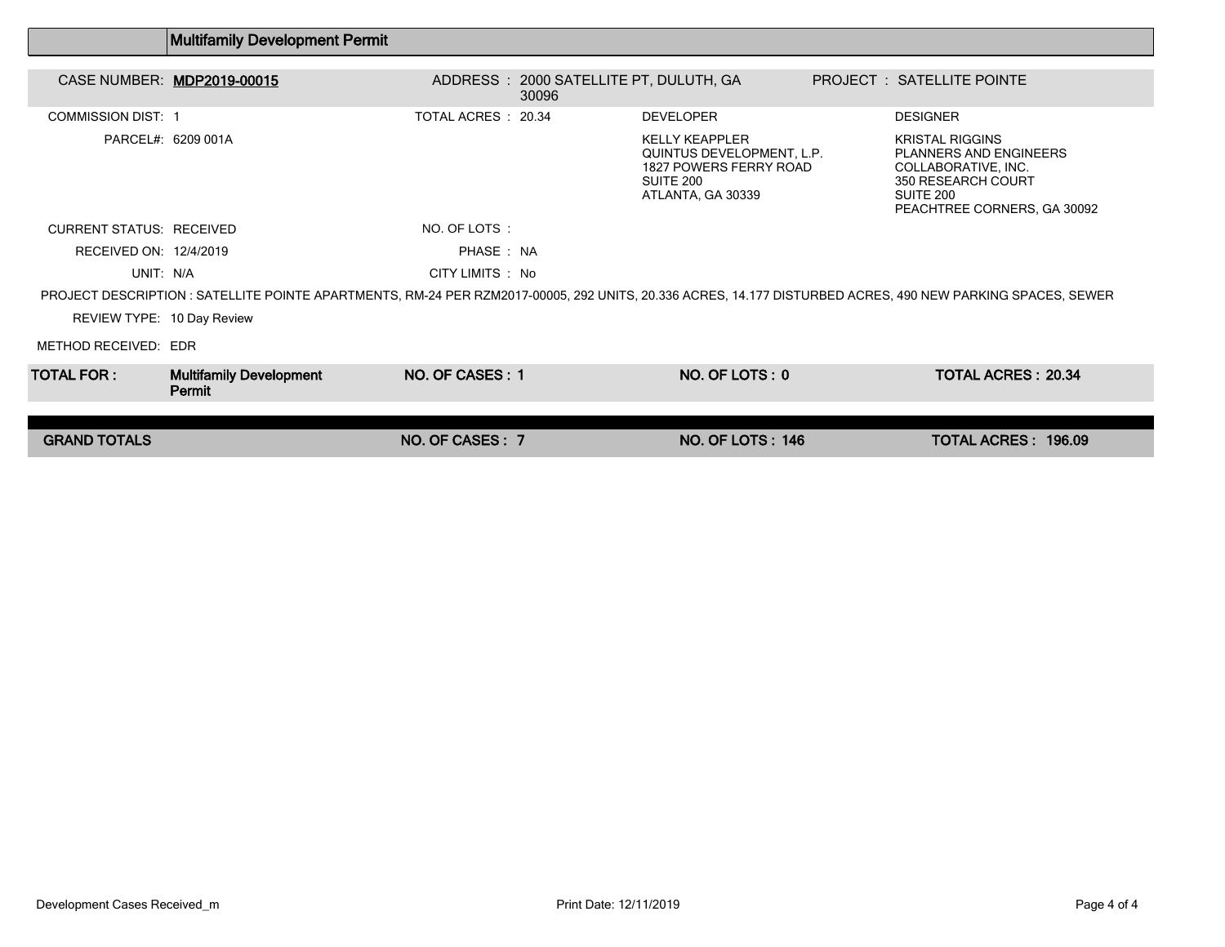|                                                                                                                                                            | <b>Multifamily Development Permit</b>    |                     |                                                 |                                                                                                                |  |                                                                                                                                                  |  |
|------------------------------------------------------------------------------------------------------------------------------------------------------------|------------------------------------------|---------------------|-------------------------------------------------|----------------------------------------------------------------------------------------------------------------|--|--------------------------------------------------------------------------------------------------------------------------------------------------|--|
|                                                                                                                                                            | CASE NUMBER: MDP2019-00015               |                     | ADDRESS: 2000 SATELLITE PT, DULUTH, GA<br>30096 |                                                                                                                |  | <b>PROJECT : SATELLITE POINTE</b>                                                                                                                |  |
| <b>COMMISSION DIST: 1</b>                                                                                                                                  |                                          | TOTAL ACRES : 20.34 |                                                 | <b>DEVELOPER</b>                                                                                               |  | <b>DESIGNER</b>                                                                                                                                  |  |
| PARCEL#: 6209 001A                                                                                                                                         |                                          |                     |                                                 | <b>KELLY KEAPPLER</b><br>QUINTUS DEVELOPMENT, L.P.<br>1827 POWERS FERRY ROAD<br>SUITE 200<br>ATLANTA, GA 30339 |  | <b>KRISTAL RIGGINS</b><br><b>PLANNERS AND ENGINEERS</b><br>COLLABORATIVE, INC.<br>350 RESEARCH COURT<br>SUITE 200<br>PEACHTREE CORNERS, GA 30092 |  |
| <b>CURRENT STATUS: RECEIVED</b>                                                                                                                            |                                          | NO. OF LOTS:        |                                                 |                                                                                                                |  |                                                                                                                                                  |  |
| RECEIVED ON: 12/4/2019                                                                                                                                     |                                          | PHASE: NA           |                                                 |                                                                                                                |  |                                                                                                                                                  |  |
| UNIT: N/A                                                                                                                                                  |                                          | CITY LIMITS : No    |                                                 |                                                                                                                |  |                                                                                                                                                  |  |
| PROJECT DESCRIPTION : SATELLITE POINTE APARTMENTS, RM-24 PER RZM2017-00005, 292 UNITS, 20.336 ACRES, 14.177 DISTURBED ACRES, 490 NEW PARKING SPACES, SEWER |                                          |                     |                                                 |                                                                                                                |  |                                                                                                                                                  |  |
| REVIEW TYPE: 10 Day Review                                                                                                                                 |                                          |                     |                                                 |                                                                                                                |  |                                                                                                                                                  |  |
| METHOD RECEIVED: EDR                                                                                                                                       |                                          |                     |                                                 |                                                                                                                |  |                                                                                                                                                  |  |
| TOTAL FOR :                                                                                                                                                | <b>Multifamily Development</b><br>Permit | NO. OF CASES: 1     |                                                 | NO. OF LOTS: 0                                                                                                 |  | <b>TOTAL ACRES: 20.34</b>                                                                                                                        |  |
|                                                                                                                                                            |                                          |                     |                                                 |                                                                                                                |  |                                                                                                                                                  |  |
| <b>GRAND TOTALS</b>                                                                                                                                        |                                          | NO. OF CASES: 7     |                                                 | <b>NO. OF LOTS: 146</b>                                                                                        |  | TOTAL ACRES: 196.09                                                                                                                              |  |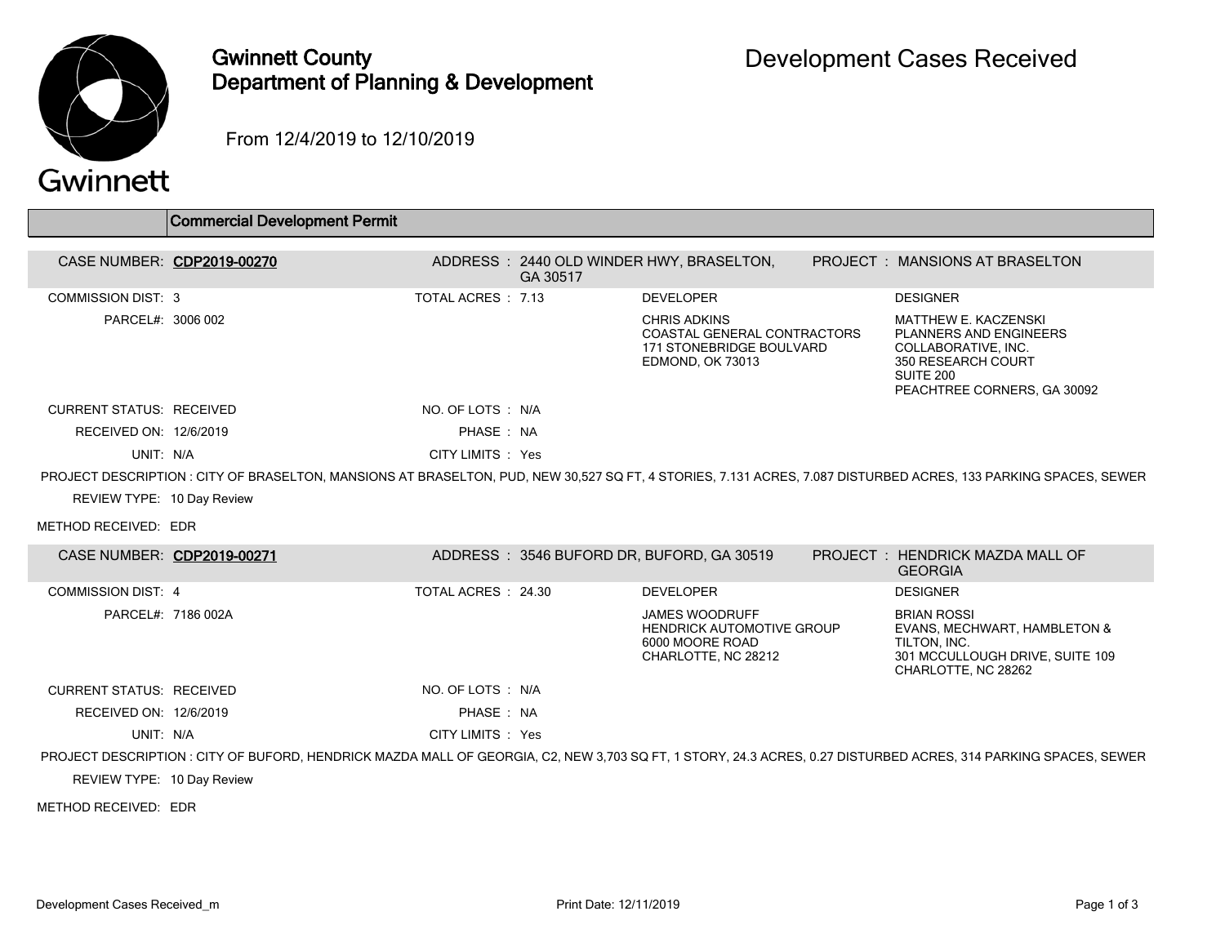

## Gwinnett County Department of Planning & Development

From 12/4/2019 to 12/10/2019

|                                 | <b>Commercial Development Permit</b> |                     |          |                                                                                                     |                                                                                                                                                                 |
|---------------------------------|--------------------------------------|---------------------|----------|-----------------------------------------------------------------------------------------------------|-----------------------------------------------------------------------------------------------------------------------------------------------------------------|
|                                 |                                      |                     |          |                                                                                                     |                                                                                                                                                                 |
|                                 | CASE NUMBER: CDP2019-00270           |                     | GA 30517 | ADDRESS: 2440 OLD WINDER HWY, BRASELTON,                                                            | <b>PROJECT : MANSIONS AT BRASELTON</b>                                                                                                                          |
| <b>COMMISSION DIST: 3</b>       |                                      | TOTAL ACRES : 7.13  |          | <b>DEVELOPER</b>                                                                                    | <b>DESIGNER</b>                                                                                                                                                 |
| PARCEL#: 3006 002               |                                      |                     |          | <b>CHRIS ADKINS</b><br>COASTAL GENERAL CONTRACTORS<br>171 STONEBRIDGE BOULVARD<br>EDMOND, OK 73013  | <b>MATTHEW E. KACZENSKI</b><br>PLANNERS AND ENGINEERS<br>COLLABORATIVE, INC.<br>350 RESEARCH COURT<br>SUITE 200<br>PEACHTREE CORNERS, GA 30092                  |
| <b>CURRENT STATUS: RECEIVED</b> |                                      | NO. OF LOTS: N/A    |          |                                                                                                     |                                                                                                                                                                 |
| RECEIVED ON: 12/6/2019          |                                      | PHASE: NA           |          |                                                                                                     |                                                                                                                                                                 |
| UNIT: N/A                       |                                      | CITY LIMITS : Yes   |          |                                                                                                     |                                                                                                                                                                 |
|                                 |                                      |                     |          |                                                                                                     | PROJECT DESCRIPTION : CITY OF BRASELTON, MANSIONS AT BRASELTON, PUD, NEW 30,527 SQ FT, 4 STORIES, 7.131 ACRES, 7.087 DISTURBED ACRES, 133 PARKING SPACES, SEWER |
| REVIEW TYPE: 10 Day Review      |                                      |                     |          |                                                                                                     |                                                                                                                                                                 |
| METHOD RECEIVED: EDR            |                                      |                     |          |                                                                                                     |                                                                                                                                                                 |
| CASE NUMBER: CDP2019-00271      |                                      |                     |          | ADDRESS: 3546 BUFORD DR, BUFORD, GA 30519                                                           | PROJECT: HENDRICK MAZDA MALL OF<br><b>GEORGIA</b>                                                                                                               |
| <b>COMMISSION DIST: 4</b>       |                                      | TOTAL ACRES : 24.30 |          | <b>DEVELOPER</b>                                                                                    | <b>DESIGNER</b>                                                                                                                                                 |
|                                 | PARCEL#: 7186 002A                   |                     |          | <b>JAMES WOODRUFF</b><br><b>HENDRICK AUTOMOTIVE GROUP</b><br>6000 MOORE ROAD<br>CHARLOTTE, NC 28212 | <b>BRIAN ROSSI</b><br>EVANS, MECHWART, HAMBLETON &<br>TILTON, INC.<br>301 MCCULLOUGH DRIVE, SUITE 109<br>CHARLOTTE, NC 28262                                    |
| <b>CURRENT STATUS: RECEIVED</b> |                                      | NO. OF LOTS : N/A   |          |                                                                                                     |                                                                                                                                                                 |
| RECEIVED ON: 12/6/2019          |                                      | PHASE: NA           |          |                                                                                                     |                                                                                                                                                                 |
| UNIT: N/A                       |                                      | CITY LIMITS : Yes   |          |                                                                                                     |                                                                                                                                                                 |
|                                 |                                      |                     |          |                                                                                                     | PROJECT DESCRIPTION : CITY OF BUFORD, HENDRICK MAZDA MALL OF GEORGIA, C2, NEW 3,703 SQ FT, 1 STORY, 24.3 ACRES, 0.27 DISTURBED ACRES, 314 PARKING SPACES, SEWER |
| REVIEW TYPE: 10 Day Review      |                                      |                     |          |                                                                                                     |                                                                                                                                                                 |
| METHOD RECEIVED: EDR            |                                      |                     |          |                                                                                                     |                                                                                                                                                                 |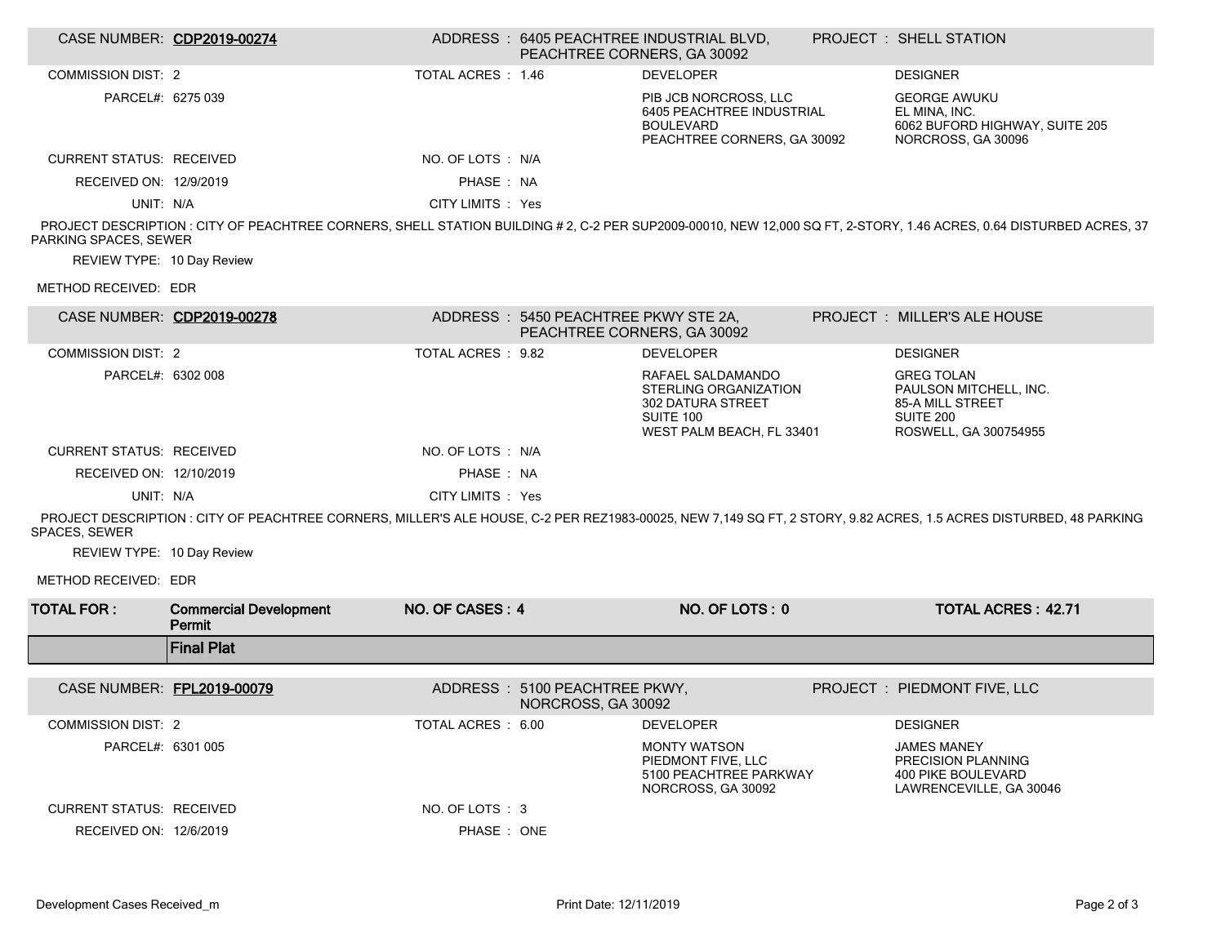|                                                                                                                                                                                             | CASE NUMBER: CDP2019-00274              |                    | PEACHTREE CORNERS, GA 30092                                         | ADDRESS: 6405 PEACHTREE INDUSTRIAL BLVD,                                                                         |  | PROJECT : SHELL STATION                                                                                                                                           |  |  |  |
|---------------------------------------------------------------------------------------------------------------------------------------------------------------------------------------------|-----------------------------------------|--------------------|---------------------------------------------------------------------|------------------------------------------------------------------------------------------------------------------|--|-------------------------------------------------------------------------------------------------------------------------------------------------------------------|--|--|--|
| <b>COMMISSION DIST: 2</b>                                                                                                                                                                   |                                         | TOTAL ACRES : 1.46 |                                                                     | <b>DEVELOPER</b>                                                                                                 |  | <b>DESIGNER</b>                                                                                                                                                   |  |  |  |
| PARCEL#: 6275 039                                                                                                                                                                           |                                         |                    |                                                                     | PIB JCB NORCROSS, LLC<br>6405 PEACHTREE INDUSTRIAL<br><b>BOULEVARD</b><br>PEACHTREE CORNERS, GA 30092            |  | <b>GEORGE AWUKU</b><br>EL MINA, INC.<br>6062 BUFORD HIGHWAY, SUITE 205<br>NORCROSS, GA 30096                                                                      |  |  |  |
| <b>CURRENT STATUS: RECEIVED</b>                                                                                                                                                             |                                         | NO. OF LOTS : N/A  |                                                                     |                                                                                                                  |  |                                                                                                                                                                   |  |  |  |
| RECEIVED ON: 12/9/2019                                                                                                                                                                      |                                         | PHASE: NA          |                                                                     |                                                                                                                  |  |                                                                                                                                                                   |  |  |  |
| UNIT: N/A                                                                                                                                                                                   |                                         | CITY LIMITS : Yes  |                                                                     |                                                                                                                  |  |                                                                                                                                                                   |  |  |  |
| PROJECT DESCRIPTION : CITY OF PEACHTREE CORNERS, SHELL STATION BUILDING #2, C-2 PER SUP2009-00010, NEW 12,000 SQ FT, 2-STORY, 1.46 ACRES, 0.64 DISTURBED ACRES, 37<br>PARKING SPACES, SEWER |                                         |                    |                                                                     |                                                                                                                  |  |                                                                                                                                                                   |  |  |  |
| REVIEW TYPE: 10 Day Review                                                                                                                                                                  |                                         |                    |                                                                     |                                                                                                                  |  |                                                                                                                                                                   |  |  |  |
| METHOD RECEIVED: EDR                                                                                                                                                                        |                                         |                    |                                                                     |                                                                                                                  |  |                                                                                                                                                                   |  |  |  |
|                                                                                                                                                                                             | CASE NUMBER: CDP2019-00278              |                    | ADDRESS: 5450 PEACHTREE PKWY STE 2A,<br>PEACHTREE CORNERS, GA 30092 |                                                                                                                  |  | PROJECT : MILLER'S ALE HOUSE                                                                                                                                      |  |  |  |
| <b>COMMISSION DIST: 2</b>                                                                                                                                                                   |                                         | TOTAL ACRES : 9.82 |                                                                     | <b>DEVELOPER</b>                                                                                                 |  | <b>DESIGNER</b>                                                                                                                                                   |  |  |  |
| PARCEL#: 6302 008                                                                                                                                                                           |                                         |                    |                                                                     | RAFAEL SALDAMANDO<br>STERLING ORGANIZATION<br>302 DATURA STREET<br><b>SUITE 100</b><br>WEST PALM BEACH, FL 33401 |  | <b>GREG TOLAN</b><br>PAULSON MITCHELL, INC.<br>85-A MILL STREET<br>SUITE 200<br>ROSWELL, GA 300754955                                                             |  |  |  |
| <b>CURRENT STATUS: RECEIVED</b>                                                                                                                                                             |                                         | NO. OF LOTS : N/A  |                                                                     |                                                                                                                  |  |                                                                                                                                                                   |  |  |  |
| RECEIVED ON: 12/10/2019                                                                                                                                                                     |                                         | PHASE: NA          |                                                                     |                                                                                                                  |  |                                                                                                                                                                   |  |  |  |
| UNIT: N/A                                                                                                                                                                                   |                                         | CITY LIMITS : Yes  |                                                                     |                                                                                                                  |  |                                                                                                                                                                   |  |  |  |
| <b>SPACES, SEWER</b>                                                                                                                                                                        |                                         |                    |                                                                     |                                                                                                                  |  | PROJECT DESCRIPTION : CITY OF PEACHTREE CORNERS, MILLER'S ALE HOUSE, C-2 PER REZ1983-00025, NEW 7,149 SQ FT, 2 STORY, 9.82 ACRES, 1.5 ACRES DISTURBED, 48 PARKING |  |  |  |
| REVIEW TYPE: 10 Day Review                                                                                                                                                                  |                                         |                    |                                                                     |                                                                                                                  |  |                                                                                                                                                                   |  |  |  |
| METHOD RECEIVED: EDR                                                                                                                                                                        |                                         |                    |                                                                     |                                                                                                                  |  |                                                                                                                                                                   |  |  |  |
| <b>TOTAL FOR:</b>                                                                                                                                                                           | <b>Commercial Development</b><br>Permit | NO. OF CASES: 4    |                                                                     | NO. OF LOTS: 0                                                                                                   |  | <b>TOTAL ACRES: 42.71</b>                                                                                                                                         |  |  |  |
|                                                                                                                                                                                             | <b>Final Plat</b>                       |                    |                                                                     |                                                                                                                  |  |                                                                                                                                                                   |  |  |  |
| CASE NUMBER: FPL2019-00079                                                                                                                                                                  |                                         |                    | ADDRESS: 5100 PEACHTREE PKWY,                                       |                                                                                                                  |  | PROJECT : PIEDMONT FIVE, LLC                                                                                                                                      |  |  |  |
|                                                                                                                                                                                             |                                         |                    | NORCROSS, GA 30092                                                  |                                                                                                                  |  |                                                                                                                                                                   |  |  |  |
| COMMISSION DIST: 2                                                                                                                                                                          |                                         | TOTAL ACRES: 6.00  |                                                                     | DEVELOPER                                                                                                        |  | <b>DESIGNER</b>                                                                                                                                                   |  |  |  |
| PARCEL#: 6301 005                                                                                                                                                                           |                                         |                    |                                                                     | <b>MONTY WATSON</b><br>PIEDMONT FIVE, LLC<br>5100 PEACHTREE PARKWAY<br>NORCROSS, GA 30092                        |  | <b>JAMES MANEY</b><br>PRECISION PLANNING<br>400 PIKE BOULEVARD<br>LAWRENCEVILLE, GA 30046                                                                         |  |  |  |
| <b>CURRENT STATUS: RECEIVED</b>                                                                                                                                                             |                                         | NO. OF LOTS: 3     |                                                                     |                                                                                                                  |  |                                                                                                                                                                   |  |  |  |
| RECEIVED ON: 12/6/2019                                                                                                                                                                      |                                         | PHASE: ONE         |                                                                     |                                                                                                                  |  |                                                                                                                                                                   |  |  |  |